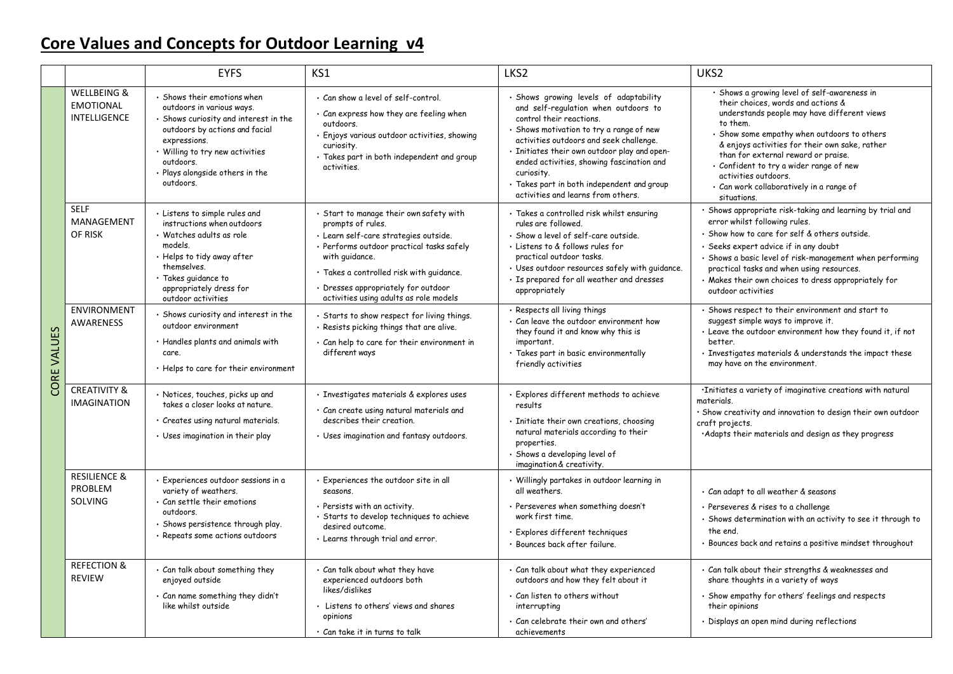## **Core Values and Concepts for Outdoor Learning v4**

|             |                                                                   | <b>EYFS</b>                                                                                                                                                                                                                                         | KS1                                                                                                                                                                                                                                                                                               | LKS <sub>2</sub>                                                                                                                                                                                                                                                                                                                                                                               | UKS <sub>2</sub>                                                                                                                                                                                                                                                                                                                                                                                                    |
|-------------|-------------------------------------------------------------------|-----------------------------------------------------------------------------------------------------------------------------------------------------------------------------------------------------------------------------------------------------|---------------------------------------------------------------------------------------------------------------------------------------------------------------------------------------------------------------------------------------------------------------------------------------------------|------------------------------------------------------------------------------------------------------------------------------------------------------------------------------------------------------------------------------------------------------------------------------------------------------------------------------------------------------------------------------------------------|---------------------------------------------------------------------------------------------------------------------------------------------------------------------------------------------------------------------------------------------------------------------------------------------------------------------------------------------------------------------------------------------------------------------|
| CORE VALUES | <b>WELLBEING &amp;</b><br><b>EMOTIONAL</b><br><b>INTELLIGENCE</b> | · Shows their emotions when<br>outdoors in various ways.<br>· Shows curiosity and interest in the<br>outdoors by actions and facial<br>expressions.<br>• Willing to try new activities<br>outdoors.<br>· Plays alongside others in the<br>outdoors. | · Can show a level of self-control.<br>· Can express how they are feeling when<br>outdoors.<br>· Enjoys various outdoor activities, showing<br>curiosity.<br>· Takes part in both independent and group<br>activities.                                                                            | · Shows growing levels of adaptability<br>and self-regulation when outdoors to<br>control their reactions.<br>Shows motivation to try a range of new<br>activities outdoors and seek challenge.<br>· Initiates their own outdoor play and open-<br>ended activities, showing fascination and<br>curiosity.<br>· Takes part in both independent and group<br>activities and learns from others. | · Shows a growing level of self-awareness in<br>their choices, words and actions &<br>understands people may have different views<br>to them.<br>· Show some empathy when outdoors to others<br>& enjoys activities for their own sake, rather<br>than for external reward or praise.<br>· Confident to try a wider range of new<br>activities outdoors.<br>· Can work collaboratively in a range of<br>situations. |
|             | <b>SELF</b><br>MANAGEMENT<br>OF RISK                              | · Listens to simple rules and<br>instructions when outdoors<br>· Watches adults as role<br>models.<br>· Helps to tidy away after<br>themselves.<br>· Takes guidance to<br>appropriately dress for<br>outdoor activities                             | · Start to manage their own safety with<br>prompts of rules.<br>· Learn self-care strategies outside.<br>· Performs outdoor practical tasks safely<br>with guidance.<br>· Takes a controlled risk with guidance.<br>· Dresses appropriately for outdoor<br>activities using adults as role models | · Takes a controlled risk whilst ensuring<br>rules are followed.<br>· Show a level of self-care outside.<br>· Listens to & follows rules for<br>practical outdoor tasks.<br>· Uses outdoor resources safely with quidance.<br>· Is prepared for all weather and dresses<br>appropriately                                                                                                       | · Shows appropriate risk-taking and learning by trial and<br>error whilst following rules.<br>· Show how to care for self & others outside.<br>· Seeks expert advice if in any doubt<br>· Shows a basic level of risk-management when performing<br>practical tasks and when using resources.<br>· Makes their own choices to dress appropriately for<br>outdoor activities                                         |
|             | <b>ENVIRONMENT</b><br><b>AWARENESS</b>                            | · Shows curiosity and interest in the<br>outdoor environment<br>• Handles plants and animals with<br>care.<br>• Helps to care for their environment                                                                                                 | · Starts to show respect for living things.<br>· Resists picking things that are alive.<br>· Can help to care for their environment in<br>different ways                                                                                                                                          | · Respects all living things<br>Can leave the outdoor environment how<br>they found it and know why this is<br>important.<br>· Takes part in basic environmentally<br>friendly activities                                                                                                                                                                                                      | · Shows respect to their environment and start to<br>suggest simple ways to improve it.<br>. Leave the outdoor environment how they found it, if not<br>better.<br>· Investigates materials & understands the impact these<br>may have on the environment.                                                                                                                                                          |
|             | <b>CREATIVITY &amp;</b><br><b>IMAGINATION</b>                     | · Notices, touches, picks up and<br>takes a closer looks at nature.<br>· Creates using natural materials.<br>· Uses imagination in their play                                                                                                       | · Investigates materials & explores uses<br>· Can create using natural materials and<br>describes their creation.<br>· Uses imagination and fantasy outdoors.                                                                                                                                     | Explores different methods to achieve<br>results<br>· Initiate their own creations, choosing<br>natural materials according to their<br>properties.<br>· Shows a developing level of<br>imagination & creativity.                                                                                                                                                                              | ·Initiates a variety of imaginative creations with natural<br>materials.<br>· Show creativity and innovation to design their own outdoor<br>craft projects.<br>·Adapts their materials and design as they progress                                                                                                                                                                                                  |
|             | <b>RESILIENCE &amp;</b><br>PROBLEM<br>SOLVING                     | · Experiences outdoor sessions in a<br>variety of weathers.<br>· Can settle their emotions<br>outdoors.<br>· Shows persistence through play.<br>· Repeats some actions outdoors                                                                     | Experiences the outdoor site in all<br>seasons.<br>· Persists with an activity.<br>· Starts to develop techniques to achieve<br>desired outcome.<br>· Learns through trial and error.                                                                                                             | · Willingly partakes in outdoor learning in<br>all weathers.<br>· Perseveres when something doesn't<br>work first time.<br>· Explores different techniques<br>· Bounces back after failure.                                                                                                                                                                                                    | · Can adapt to all weather & seasons<br>· Perseveres & rises to a challenge<br>· Shows determination with an activity to see it through to<br>the end.<br>· Bounces back and retains a positive mindset throughout                                                                                                                                                                                                  |
|             | <b>REFECTION &amp;</b><br><b>REVIEW</b>                           | · Can talk about something they<br>enjoyed outside<br>· Can name something they didn't<br>like whilst outside                                                                                                                                       | · Can talk about what they have<br>experienced outdoors both<br>likes/dislikes<br>Listens to others' views and shares<br>opinions<br>· Can take it in turns to talk                                                                                                                               | · Can talk about what they experienced<br>outdoors and how they felt about it<br>· Can listen to others without<br>interrupting<br>· Can celebrate their own and others'<br>achievements                                                                                                                                                                                                       | · Can talk about their strengths & weaknesses and<br>share thoughts in a variety of ways<br>· Show empathy for others' feelings and respects<br>their opinions<br>· Displays an open mind during reflections                                                                                                                                                                                                        |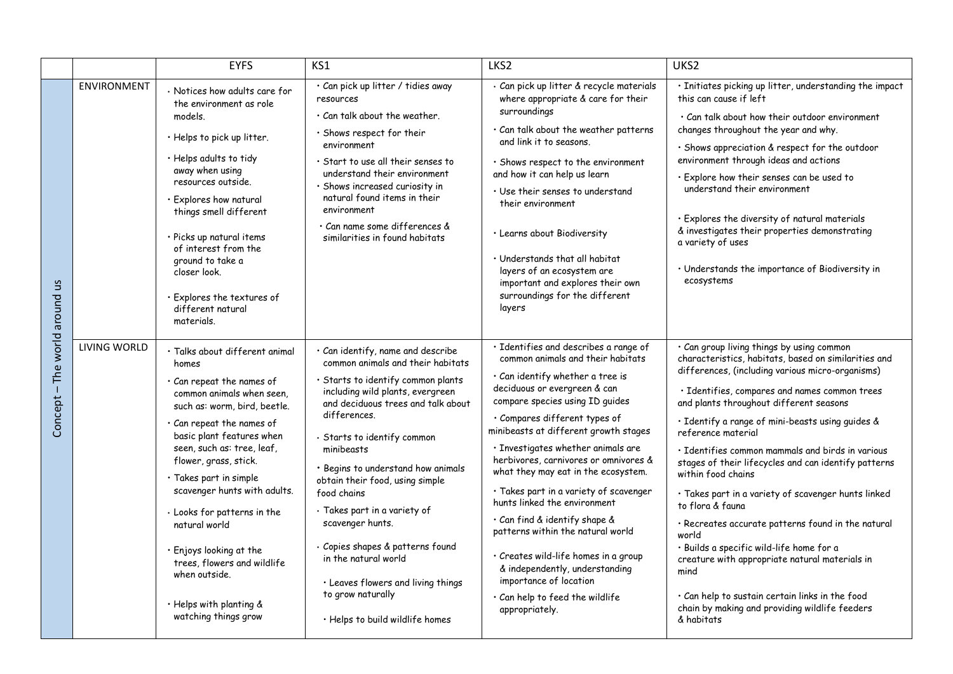|                                        |                     | <b>EYFS</b>                                                                                                                                                                                                                                                                                                                                                                                                                                                                                      | KS1                                                                                                                                                                                                                                                                                                                                                                                                                                                                                                                                                       | LKS2                                                                                                                                                                                                                                                                                                                                                                                                                                                                                                                                                                                                                                                                                       | UKS2                                                                                                                                                                                                                                                                                                                                                                                                                                                                                                                                                                                                                                                                                                                                                                                                                             |
|----------------------------------------|---------------------|--------------------------------------------------------------------------------------------------------------------------------------------------------------------------------------------------------------------------------------------------------------------------------------------------------------------------------------------------------------------------------------------------------------------------------------------------------------------------------------------------|-----------------------------------------------------------------------------------------------------------------------------------------------------------------------------------------------------------------------------------------------------------------------------------------------------------------------------------------------------------------------------------------------------------------------------------------------------------------------------------------------------------------------------------------------------------|--------------------------------------------------------------------------------------------------------------------------------------------------------------------------------------------------------------------------------------------------------------------------------------------------------------------------------------------------------------------------------------------------------------------------------------------------------------------------------------------------------------------------------------------------------------------------------------------------------------------------------------------------------------------------------------------|----------------------------------------------------------------------------------------------------------------------------------------------------------------------------------------------------------------------------------------------------------------------------------------------------------------------------------------------------------------------------------------------------------------------------------------------------------------------------------------------------------------------------------------------------------------------------------------------------------------------------------------------------------------------------------------------------------------------------------------------------------------------------------------------------------------------------------|
| S<br>around<br>world<br>The<br>Concept | <b>ENVIRONMENT</b>  | · Notices how adults care for<br>the environment as role<br>models.<br>· Helps to pick up litter.<br>· Helps adults to tidy<br>away when using<br>resources outside.<br>· Explores how natural<br>things smell different<br>· Picks up natural items<br>of interest from the<br>ground to take a<br>closer look.<br>· Explores the textures of<br>different natural<br>materials.                                                                                                                | · Can pick up litter / tidies away<br>resources<br>$\cdot$ Can talk about the weather.<br>· Shows respect for their<br>environment<br>$\cdot$ Start to use all their senses to<br>understand their environment<br>· Shows increased curiosity in<br>natural found items in their<br>environment<br>· Can name some differences &<br>similarities in found habitats                                                                                                                                                                                        | · Can pick up litter & recycle materials<br>where appropriate & care for their<br>surroundings<br>· Can talk about the weather patterns<br>and link it to seasons.<br>· Shows respect to the environment<br>and how it can help us learn<br>· Use their senses to understand<br>their environment<br>· Learns about Biodiversity<br>· Understands that all habitat<br>layers of an ecosystem are<br>important and explores their own<br>surroundings for the different<br>layers                                                                                                                                                                                                           | · Initiates picking up litter, understanding the impact<br>this can cause if left<br>. Can talk about how their outdoor environment<br>changes throughout the year and why.<br>· Shows appreciation & respect for the outdoor<br>environment through ideas and actions<br>· Explore how their senses can be used to<br>understand their environment<br>$\cdot$ Explores the diversity of natural materials<br>& investigates their properties demonstrating<br>a variety of uses<br>· Understands the importance of Biodiversity in<br>ecosystems                                                                                                                                                                                                                                                                                |
|                                        | <b>LIVING WORLD</b> | · Talks about different animal<br>homes<br>· Can repeat the names of<br>common animals when seen.<br>such as: worm, bird, beetle.<br>$\cdot$ Can repeat the names of<br>basic plant features when<br>seen, such as: tree, leaf,<br>flower, grass, stick.<br>· Takes part in simple<br>scavenger hunts with adults.<br>· Looks for patterns in the<br>natural world<br>· Enjoys looking at the<br>trees, flowers and wildlife<br>when outside.<br>· Helps with planting &<br>watching things grow | · Can identify, name and describe<br>common animals and their habitats<br>· Starts to identify common plants<br>including wild plants, evergreen<br>and deciduous trees and talk about<br>differences.<br>· Starts to identify common<br>minibeasts<br>· Begins to understand how animals<br>obtain their food, using simple<br>food chains<br>· Takes part in a variety of<br>scavenger hunts.<br>· Copies shapes & patterns found<br>in the natural world<br>· Leaves flowers and living things<br>to grow naturally<br>· Helps to build wildlife homes | · Identifies and describes a range of<br>common animals and their habitats<br>· Can identify whether a tree is<br>deciduous or evergreen & can<br>compare species using ID quides<br>· Compares different types of<br>minibeasts at different growth stages<br>· Investigates whether animals are<br>herbivores, carnivores or omnivores &<br>what they may eat in the ecosystem.<br>· Takes part in a variety of scavenger<br>hunts linked the environment<br>· Can find & identify shape &<br>patterns within the natural world<br>· Creates wild-life homes in a group<br>& independently, understanding<br>importance of location<br>· Can help to feed the wildlife<br>appropriately. | · Can group living things by using common<br>characteristics, habitats, based on similarities and<br>differences, (including various micro-organisms)<br>· Identifies, compares and names common trees<br>and plants throughout different seasons<br>· Identify a range of mini-beasts using guides &<br>reference material<br>· Identifies common mammals and birds in various<br>stages of their lifecycles and can identify patterns<br>within food chains<br>· Takes part in a variety of scavenger hunts linked<br>to flora & fauna<br>· Recreates accurate patterns found in the natural<br>world<br>· Builds a specific wild-life home for a<br>creature with appropriate natural materials in<br>mind<br>· Can help to sustain certain links in the food<br>chain by making and providing wildlife feeders<br>& habitats |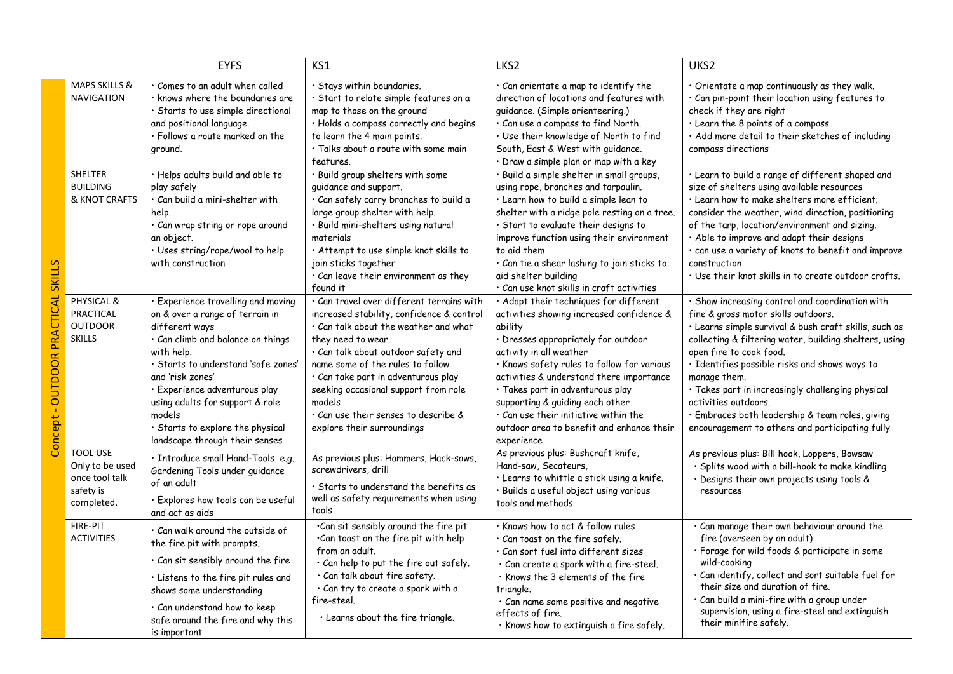|                                                          |                                                                                 | <b>EYFS</b>                                                                                                                                                                                                                                                                                                                                               | KS1                                                                                                                                                                                                                                                                                                                                                                                                   | LKS2                                                                                                                                                                                                                                                                                                                                                                                                                                        | UKS2                                                                                                                                                                                                                                                                                                                                                                                                                                                                                     |
|----------------------------------------------------------|---------------------------------------------------------------------------------|-----------------------------------------------------------------------------------------------------------------------------------------------------------------------------------------------------------------------------------------------------------------------------------------------------------------------------------------------------------|-------------------------------------------------------------------------------------------------------------------------------------------------------------------------------------------------------------------------------------------------------------------------------------------------------------------------------------------------------------------------------------------------------|---------------------------------------------------------------------------------------------------------------------------------------------------------------------------------------------------------------------------------------------------------------------------------------------------------------------------------------------------------------------------------------------------------------------------------------------|------------------------------------------------------------------------------------------------------------------------------------------------------------------------------------------------------------------------------------------------------------------------------------------------------------------------------------------------------------------------------------------------------------------------------------------------------------------------------------------|
| <b>SKILLS</b><br>PRACTICAL<br><b>OUTDOOR</b><br>Concept- | <b>MAPS SKILLS &amp;</b><br><b>NAVIGATION</b>                                   | · Comes to an adult when called<br>$\cdot$ knows where the boundaries are<br>· Starts to use simple directional<br>and positional language.<br>· Follows a route marked on the<br>ground.                                                                                                                                                                 | · Stays within boundaries.<br>· Start to relate simple features on a<br>map to those on the ground<br>· Holds a compass correctly and begins<br>to learn the 4 main points.<br>· Talks about a route with some main<br>features.                                                                                                                                                                      | · Can orientate a map to identify the<br>direction of locations and features with<br>quidance. (Simple orienteering.)<br>· Can use a compass to find North.<br>· Use their knowledge of North to find<br>South, East & West with guidance.<br>· Draw a simple plan or map with a key                                                                                                                                                        | · Orientate a map continuously as they walk.<br>· Can pin-point their location using features to<br>check if they are right<br>· Learn the 8 points of a compass<br>· Add more detail to their sketches of including<br>compass directions                                                                                                                                                                                                                                               |
|                                                          | <b>SHELTER</b><br><b>BUILDING</b><br>& KNOT CRAFTS                              | · Helps adults build and able to<br>play safely<br>· Can build a mini-shelter with<br>help.<br>· Can wrap string or rope around<br>an object.<br>· Uses string/rope/wool to help<br>with construction                                                                                                                                                     | · Build group shelters with some<br>guidance and support.<br>· Can safely carry branches to build a<br>large group shelter with help.<br>· Build mini-shelters using natural<br>materials<br>· Attempt to use simple knot skills to<br>join sticks together<br>$\cdot$ Can leave their environment as they<br>found it                                                                                | · Build a simple shelter in small groups,<br>using rope, branches and tarpaulin.<br>· Learn how to build a simple lean to<br>shelter with a ridge pole resting on a tree.<br>· Start to evaluate their designs to<br>improve function using their environment<br>to aid them<br>· Can tie a shear lashing to join sticks to<br>aid shelter building<br>· Can use knot skills in craft activities                                            | · Learn to build a range of different shaped and<br>size of shelters using available resources<br>· Learn how to make shelters more efficient;<br>consider the weather, wind direction, positioning<br>of the tarp, location/environment and sizing.<br>. Able to improve and adapt their designs<br>· can use a variety of knots to benefit and improve<br>construction<br>$\cdot$ Use their knot skills in to create outdoor crafts.                                                   |
|                                                          | PHYSICAL &<br><b>PRACTICAL</b><br><b>OUTDOOR</b><br><b>SKILLS</b>               | · Experience travelling and moving<br>on & over a range of terrain in<br>different ways<br>· Can climb and balance on things<br>with help.<br>· Starts to understand 'safe zones'<br>and 'risk zones'<br>· Experience adventurous play<br>using adults for support & role<br>models<br>· Starts to explore the physical<br>landscape through their senses | · Can travel over different terrains with<br>increased stability, confidence & control<br>· Can talk about the weather and what<br>they need to wear.<br>· Can talk about outdoor safety and<br>name some of the rules to follow<br>$\cdot$ Can take part in adventurous play<br>seeking occasional support from role<br>models<br>. Can use their senses to describe &<br>explore their surroundings | · Adapt their techniques for different<br>activities showing increased confidence &<br>ability<br>· Dresses appropriately for outdoor<br>activity in all weather<br>· Knows safety rules to follow for various<br>activities & understand there importance<br>· Takes part in adventurous play<br>supporting & guiding each other<br>$\cdot$ Can use their initiative within the<br>outdoor area to benefit and enhance their<br>experience | · Show increasing control and coordination with<br>fine & gross motor skills outdoors.<br>· Learns simple survival & bush craft skills, such as<br>collecting & filtering water, building shelters, using<br>open fire to cook food.<br>· Identifies possible risks and shows ways to<br>manage them.<br>· Takes part in increasingly challenging physical<br>activities outdoors.<br>· Embraces both leadership & team roles, giving<br>encouragement to others and participating fully |
|                                                          | <b>TOOL USE</b><br>Only to be used<br>once tool talk<br>safety is<br>completed. | · Introduce small Hand-Tools e.g.<br>Gardening Tools under guidance<br>of an adult<br>· Explores how tools can be useful<br>and act as aids                                                                                                                                                                                                               | As previous plus: Hammers, Hack-saws,<br>screwdrivers, drill<br>· Starts to understand the benefits as<br>well as safety requirements when using<br>tools                                                                                                                                                                                                                                             | As previous plus: Bushcraft knife,<br>Hand-saw, Secateurs,<br>· Learns to whittle a stick using a knife.<br>· Builds a useful object using various<br>tools and methods                                                                                                                                                                                                                                                                     | As previous plus: Bill hook, Loppers, Bowsaw<br>· Splits wood with a bill-hook to make kindling<br>· Designs their own projects using tools &<br>resources                                                                                                                                                                                                                                                                                                                               |
|                                                          | FIRE-PIT<br><b>ACTIVITIES</b>                                                   | · Can walk around the outside of<br>the fire pit with prompts.<br>· Can sit sensibly around the fire<br>· Listens to the fire pit rules and<br>shows some understanding<br>· Can understand how to keep<br>safe around the fire and why this<br>is important                                                                                              | .Can sit sensibly around the fire pit<br>.Can toast on the fire pit with help<br>from an adult.<br>· Can help to put the fire out safely.<br>· Can talk about fire safety.<br>· Can try to create a spark with a<br>fire-steel.<br>· Learns about the fire triangle.                                                                                                                                  | · Knows how to act & follow rules<br>· Can toast on the fire safely.<br>$\cdot$ Can sort fuel into different sizes<br>· Can create a spark with a fire-steel.<br>. Knows the 3 elements of the fire<br>triangle.<br>· Can name some positive and negative<br>effects of fire.<br>· Knows how to extinguish a fire safely.                                                                                                                   | · Can manage their own behaviour around the<br>fire (overseen by an adult)<br>· Forage for wild foods & participate in some<br>wild-cooking<br>· Can identify, collect and sort suitable fuel for<br>their size and duration of fire.<br>$\cdot$ Can build a mini-fire with a group under<br>supervision, using a fire-steel and extinguish<br>their minifire safely.                                                                                                                    |